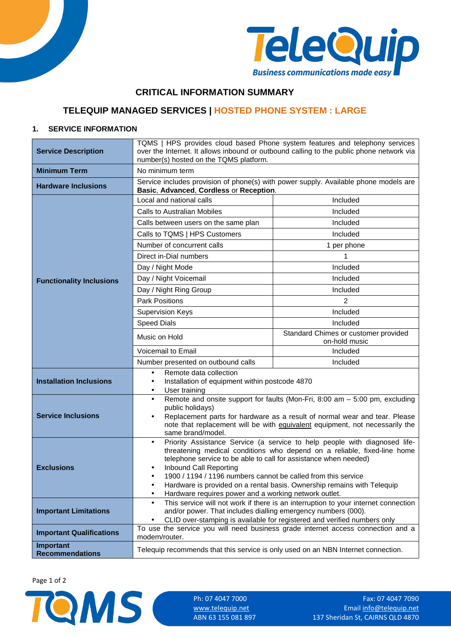



## **CRITICAL INFORMATION SUMMARY**

# **TELEQUIP MANAGED SERVICES | HOSTED PHONE SYSTEM : LARGE**

### **1. SERVICE INFORMATION**

| <b>Service Description</b>          | TQMS   HPS provides cloud based Phone system features and telephony services<br>over the Internet. It allows inbound or outbound calling to the public phone network via<br>number(s) hosted on the TQMS platform.                                                                                                                                                                                                                                                                            |                                                       |  |
|-------------------------------------|-----------------------------------------------------------------------------------------------------------------------------------------------------------------------------------------------------------------------------------------------------------------------------------------------------------------------------------------------------------------------------------------------------------------------------------------------------------------------------------------------|-------------------------------------------------------|--|
| <b>Minimum Term</b>                 | No minimum term                                                                                                                                                                                                                                                                                                                                                                                                                                                                               |                                                       |  |
| <b>Hardware Inclusions</b>          | Service includes provision of phone(s) with power supply. Available phone models are<br>Basic, Advanced, Cordless or Reception.                                                                                                                                                                                                                                                                                                                                                               |                                                       |  |
|                                     | Local and national calls                                                                                                                                                                                                                                                                                                                                                                                                                                                                      | Included                                              |  |
|                                     | <b>Calls to Australian Mobiles</b>                                                                                                                                                                                                                                                                                                                                                                                                                                                            | Included                                              |  |
|                                     | Calls between users on the same plan                                                                                                                                                                                                                                                                                                                                                                                                                                                          | Included                                              |  |
|                                     | Calls to TQMS   HPS Customers                                                                                                                                                                                                                                                                                                                                                                                                                                                                 | Included                                              |  |
|                                     | Number of concurrent calls                                                                                                                                                                                                                                                                                                                                                                                                                                                                    | 1 per phone                                           |  |
|                                     | Direct in-Dial numbers                                                                                                                                                                                                                                                                                                                                                                                                                                                                        | 1                                                     |  |
|                                     | Day / Night Mode                                                                                                                                                                                                                                                                                                                                                                                                                                                                              | Included                                              |  |
| <b>Functionality Inclusions</b>     | Day / Night Voicemail                                                                                                                                                                                                                                                                                                                                                                                                                                                                         | Included                                              |  |
|                                     | Day / Night Ring Group                                                                                                                                                                                                                                                                                                                                                                                                                                                                        | Included                                              |  |
|                                     | <b>Park Positions</b>                                                                                                                                                                                                                                                                                                                                                                                                                                                                         | $\overline{2}$                                        |  |
|                                     | <b>Supervision Keys</b>                                                                                                                                                                                                                                                                                                                                                                                                                                                                       | Included                                              |  |
|                                     | <b>Speed Dials</b>                                                                                                                                                                                                                                                                                                                                                                                                                                                                            | Included                                              |  |
|                                     | Music on Hold                                                                                                                                                                                                                                                                                                                                                                                                                                                                                 | Standard Chimes or customer provided<br>on-hold music |  |
|                                     | <b>Voicemail to Email</b>                                                                                                                                                                                                                                                                                                                                                                                                                                                                     | Included                                              |  |
|                                     | Number presented on outbound calls                                                                                                                                                                                                                                                                                                                                                                                                                                                            | Included                                              |  |
|                                     | Remote data collection<br>$\bullet$                                                                                                                                                                                                                                                                                                                                                                                                                                                           |                                                       |  |
| <b>Installation Inclusions</b>      | Installation of equipment within postcode 4870<br>٠<br>User training<br>٠                                                                                                                                                                                                                                                                                                                                                                                                                     |                                                       |  |
| <b>Service Inclusions</b>           | Remote and onsite support for faults (Mon-Fri, 8:00 am - 5:00 pm, excluding<br>$\bullet$<br>public holidays)<br>Replacement parts for hardware as a result of normal wear and tear. Please<br>$\bullet$<br>note that replacement will be with equivalent equipment, not necessarily the<br>same brand/model.                                                                                                                                                                                  |                                                       |  |
| <b>Exclusions</b>                   | Priority Assistance Service (a service to help people with diagnosed life-<br>$\bullet$<br>threatening medical conditions who depend on a reliable, fixed-line home<br>telephone service to be able to call for assistance when needed)<br>Inbound Call Reporting<br>٠<br>1900 / 1194 / 1196 numbers cannot be called from this service<br>Hardware is provided on a rental basis. Ownership remains with Telequip<br>٠<br>Hardware requires power and a working network outlet.<br>$\bullet$ |                                                       |  |
| <b>Important Limitations</b>        | This service will not work if there is an interruption to your internet connection<br>and/or power. That includes dialling emergency numbers (000).<br>CLID over-stamping is available for registered and verified numbers only<br>$\bullet$                                                                                                                                                                                                                                                  |                                                       |  |
| <b>Important Qualifications</b>     | To use the service you will need business grade internet access connection and a<br>modem/router.                                                                                                                                                                                                                                                                                                                                                                                             |                                                       |  |
| Important<br><b>Recommendations</b> | Telequip recommends that this service is only used on an NBN Internet connection.                                                                                                                                                                                                                                                                                                                                                                                                             |                                                       |  |

Page 1 of 2

Ph: 07 4047 7000 Fax: 07 4047 7090 Ph: 07 4047 7000 Fax: 07 4047 7090 Fax: 07 4047 7090 Email info@telequip.net<br>ABN 63 155 081 897 137 Sheridan St, CAIRNS QLD 4870 137 Sheridan St, CAIRNS QLD 4870